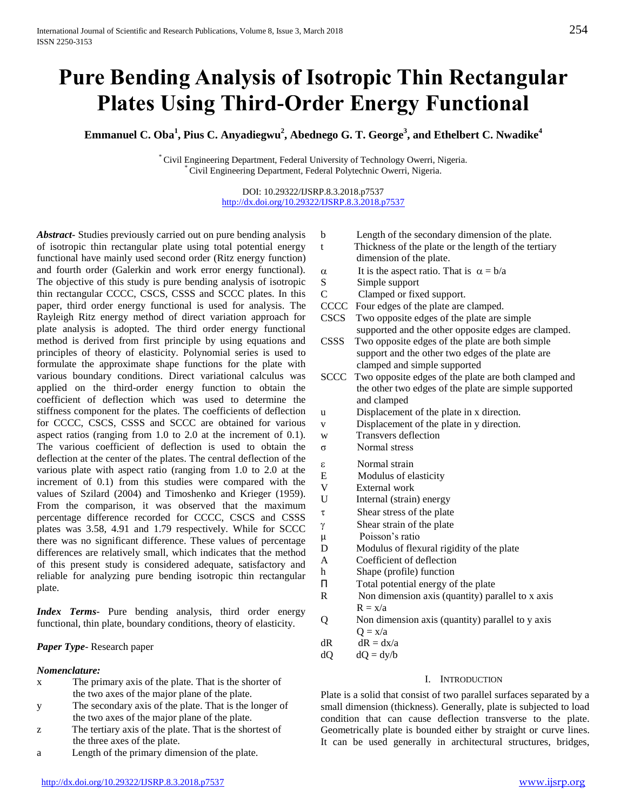# **Pure Bending Analysis of Isotropic Thin Rectangular Plates Using Third-Order Energy Functional**

**Emmanuel C. Oba<sup>1</sup> , Pius C. Anyadiegwu 2 , Abednego G. T. George<sup>3</sup> , and Ethelbert C. Nwadike<sup>4</sup>**

\* Civil Engineering Department, Federal University of Technology Owerri, Nigeria. \* Civil Engineering Department, Federal Polytechnic Owerri, Nigeria.

#### DOI: 10.29322/IJSRP.8.3.2018.p7537 [http://dx.doi.org/10.29322/IJSRP.8.3.2018.p7537](http://dx.doi.org/10.29322/IJSRP.8.3.2018.p7536)

*Abstract***-** Studies previously carried out on pure bending analysis of isotropic thin rectangular plate using total potential energy functional have mainly used second order (Ritz energy function) and fourth order (Galerkin and work error energy functional). The objective of this study is pure bending analysis of isotropic thin rectangular CCCC, CSCS, CSSS and SCCC plates. In this paper, third order energy functional is used for analysis. The Rayleigh Ritz energy method of direct variation approach for plate analysis is adopted. The third order energy functional method is derived from first principle by using equations and principles of theory of elasticity. Polynomial series is used to formulate the approximate shape functions for the plate with various boundary conditions. Direct variational calculus was applied on the third-order energy function to obtain the coefficient of deflection which was used to determine the stiffness component for the plates. The coefficients of deflection for CCCC, CSCS, CSSS and SCCC are obtained for various aspect ratios (ranging from 1.0 to 2.0 at the increment of 0.1). The various coefficient of deflection is used to obtain the deflection at the center of the plates. The central deflection of the various plate with aspect ratio (ranging from 1.0 to 2.0 at the increment of 0.1) from this studies were compared with the values of Szilard (2004) and Timoshenko and Krieger (1959). From the comparison, it was observed that the maximum percentage difference recorded for CCCC, CSCS and CSSS plates was 3.58, 4.91 and 1.79 respectively. While for SCCC there was no significant difference. These values of percentage differences are relatively small, which indicates that the method of this present study is considered adequate, satisfactory and reliable for analyzing pure bending isotropic thin rectangular plate.

*Index Terms*- Pure bending analysis, third order energy functional, thin plate, boundary conditions, theory of elasticity.

# *Paper Type*- Research paper

# *Nomenclature:*

- x The primary axis of the plate. That is the shorter of the two axes of the major plane of the plate.
- y The secondary axis of the plate. That is the longer of the two axes of the major plane of the plate.
- z The tertiary axis of the plate. That is the shortest of the three axes of the plate.
- a Length of the primary dimension of the plate.
- b Length of the secondary dimension of the plate.
- t Thickness of the plate or the length of the tertiary dimension of the plate.
- $\alpha$  It is the aspect ratio. That is  $\alpha = b/a$
- S Simple support
- C Clamped or fixed support.
- CCCC Four edges of the plate are clamped.
- CSCS Two opposite edges of the plate are simple supported and the other opposite edges are clamped.
- CSSS Two opposite edges of the plate are both simple support and the other two edges of the plate are clamped and simple supported
- SCCC Two opposite edges of the plate are both clamped and the other two edges of the plate are simple supported and clamped
- u Displacement of the plate in x direction.
- v Displacement of the plate in y direction.
- w Transvers deflection
- σ Normal stress
- Normal strain
- E Modulus of elasticity
- V External work
- U Internal (strain) energy
- $\tau$  Shear stress of the plate
- $\gamma$  Shear strain of the plate
- µ Poisson's ratio
- D Modulus of flexural rigidity of the plate
- A Coefficient of deflection
- h Shape (profile) function
- Π Total potential energy of the plate
- R Non dimension axis (quantity) parallel to x axis  $R = x/a$
- Q Non dimension axis (quantity) parallel to y axis  $Q = x/a$
- $dR$   $dR = dx/a$

 $dQ = dy/b$ 

## I. INTRODUCTION

Plate is a solid that consist of two parallel surfaces separated by a small dimension (thickness). Generally, plate is subjected to load condition that can cause deflection transverse to the plate. Geometrically plate is bounded either by straight or curve lines. It can be used generally in architectural structures, bridges,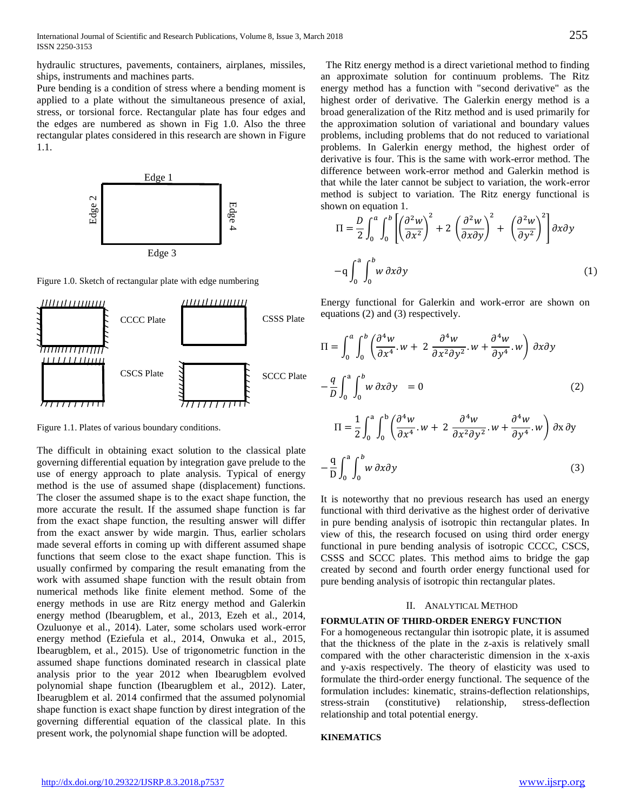hydraulic structures, pavements, containers, airplanes, missiles, ships, instruments and machines parts.

Pure bending is a condition of stress where a bending moment is applied to a plate without the simultaneous presence of axial, stress, or torsional force. Rectangular plate has four edges and the edges are numbered as shown in Fig 1.0. Also the three rectangular plates considered in this research are shown in Figure 1.1.



Figure 1.0. Sketch of rectangular plate with edge numbering



Figure 1.1. Plates of various boundary conditions.

The difficult in obtaining exact solution to the classical plate governing differential equation by integration gave prelude to the use of energy approach to plate analysis. Typical of energy method is the use of assumed shape (displacement) functions. The closer the assumed shape is to the exact shape function, the more accurate the result. If the assumed shape function is far from the exact shape function, the resulting answer will differ from the exact answer by wide margin. Thus, earlier scholars made several efforts in coming up with different assumed shape functions that seem close to the exact shape function. This is usually confirmed by comparing the result emanating from the work with assumed shape function with the result obtain from numerical methods like finite element method. Some of the energy methods in use are Ritz energy method and Galerkin energy method (Ibearugblem, et al., 2013, Ezeh et al., 2014, Ozuluonye et al., 2014). Later, some scholars used work-error energy method (Eziefula et al., 2014, Onwuka et al., 2015, Ibearugblem, et al., 2015). Use of trigonometric function in the assumed shape functions dominated research in classical plate analysis prior to the year 2012 when Ibearugblem evolved polynomial shape function (Ibearugblem et al., 2012). Later, Ibearugblem et al. 2014 confirmed that the assumed polynomial shape function is exact shape function by direst integration of the governing differential equation of the classical plate. In this present work, the polynomial shape function will be adopted.

 The Ritz energy method is a direct varietional method to finding an approximate solution for continuum problems. The Ritz energy method has a function with "second derivative" as the highest order of derivative. The Galerkin energy method is a broad generalization of the Ritz method and is used primarily for the approximation solution of variational and boundary values problems, including problems that do not reduced to variational problems. In Galerkin energy method, the highest order of derivative is four. This is the same with work-error method. The difference between work-error method and Galerkin method is that while the later cannot be subject to variation, the work-error method is subject to variation. The Ritz energy functional is shown on equation 1.

$$
\Pi = \frac{D}{2} \int_0^a \int_0^b \left[ \left( \frac{\partial^2 w}{\partial x^2} \right)^2 + 2 \left( \frac{\partial^2 w}{\partial x \partial y} \right)^2 + \left( \frac{\partial^2 w}{\partial y^2} \right)^2 \right] \partial x \partial y
$$
  
-
$$
-q \int_0^a \int_0^b w \, \partial x \partial y \tag{1}
$$

Energy functional for Galerkin and work-error are shown on equations (2) and (3) respectively.

$$
\Pi = \int_0^a \int_0^b \left( \frac{\partial^4 w}{\partial x^4} \cdot w + 2 \frac{\partial^4 w}{\partial x^2 \partial y^2} \cdot w + \frac{\partial^4 w}{\partial y^4} \cdot w \right) \partial x \partial y
$$
  

$$
- \frac{q}{D} \int_0^a \int_0^b w \partial x \partial y = 0
$$
(2)  

$$
\Pi = \frac{1}{2} \int_0^a \int_0^b \left( \frac{\partial^4 w}{\partial x^4} \cdot w + 2 \frac{\partial^4 w}{\partial x^2 \partial y^2} \cdot w + \frac{\partial^4 w}{\partial y^4} \cdot w \right) \partial x \partial y
$$
  

$$
- \frac{q}{D} \int_0^a \int_0^b w \partial x \partial y
$$
(3)

It is noteworthy that no previous research has used an energy functional with third derivative as the highest order of derivative in pure bending analysis of isotropic thin rectangular plates. In view of this, the research focused on using third order energy functional in pure bending analysis of isotropic CCCC, CSCS, CSSS and SCCC plates. This method aims to bridge the gap created by second and fourth order energy functional used for pure bending analysis of isotropic thin rectangular plates.

#### II. ANALYTICAL METHOD

#### **FORMULATIN OF THIRD-ORDER ENERGY FUNCTION**

For a homogeneous rectangular thin isotropic plate, it is assumed that the thickness of the plate in the z-axis is relatively small compared with the other characteristic dimension in the x-axis and y-axis respectively. The theory of elasticity was used to formulate the third-order energy functional. The sequence of the formulation includes: kinematic, strains-deflection relationships, stress-strain (constitutive) relationship, stress-deflection relationship and total potential energy.

#### **KINEMATICS**

 $0 \rightarrow 0$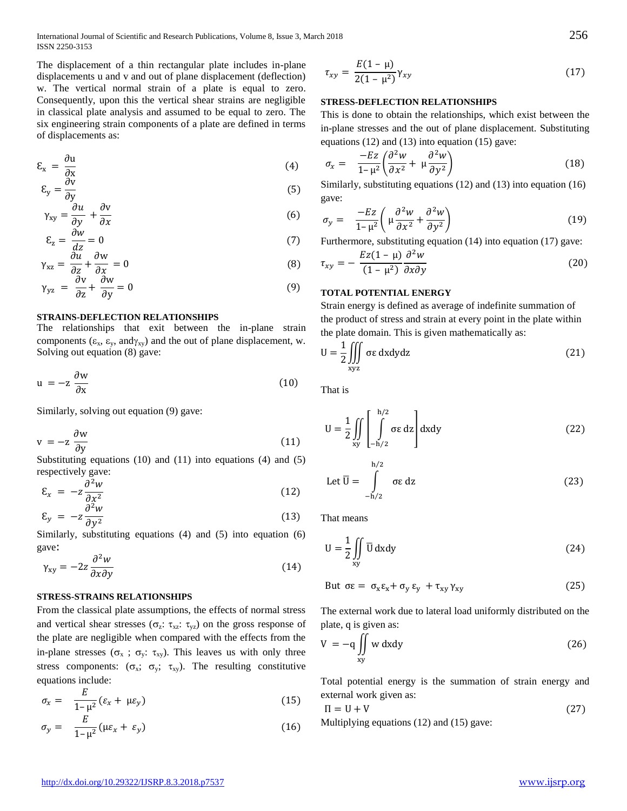International Journal of Scientific and Research Publications, Volume 8, Issue 3, March 2018 256 ISSN 2250-3153

The displacement of a thin rectangular plate includes in-plane displacements u and v and out of plane displacement (deflection) w. The vertical normal strain of a plate is equal to zero. Consequently, upon this the vertical shear strains are negligible in classical plate analysis and assumed to be equal to zero. The six engineering strain components of a plate are defined in terms of displacements as:

$$
\mathcal{E}_{x} = \frac{\partial u}{\partial x} \tag{4}
$$

$$
\mathcal{E}_y = \frac{\partial v}{\partial y}
$$
 (5)

$$
\gamma_{xy} = \frac{\partial u}{\partial y} + \frac{\partial v}{\partial x} \tag{6}
$$

$$
\mathcal{E}_z = \frac{\partial w}{\partial z} = 0\tag{7}
$$

$$
\gamma_{xz} = \frac{\partial u}{\partial z} + \frac{\partial w}{\partial x} = 0
$$
\n(8)

$$
\gamma_{yz} = \frac{\partial v}{\partial z} + \frac{\partial w}{\partial y} = 0 \tag{9}
$$

#### **STRAINS-DEFLECTION RELATIONSHIPS**

The relationships that exit between the in-plane strain components ( $\varepsilon_x$ ,  $\varepsilon_y$ , and  $\gamma_{xy}$ ) and the out of plane displacement, w. Solving out equation (8) gave:

$$
u = -z \frac{\partial w}{\partial x} \tag{10}
$$

Similarly, solving out equation (9) gave:

$$
v = -z \frac{\partial w}{\partial y} \tag{11}
$$

Substituting equations (10) and (11) into equations (4) and (5) respectively gave:

$$
\mathcal{E}_x = -z \frac{\partial^2 w}{\partial x^2} \tag{12}
$$

$$
\mathcal{E}_y = -z \frac{\partial^2 w}{\partial y^2} \tag{13}
$$

Similarly, substituting equations (4) and (5) into equation (6) gave:

$$
\gamma_{xy} = -2z \frac{\partial^2 w}{\partial x \partial y} \tag{14}
$$

#### **STRESS-STRAINS RELATIONSHIPS**

From the classical plate assumptions, the effects of normal stress and vertical shear stresses ( $\sigma_z$ :  $\tau_{xz}$ :  $\tau_{yz}$ ) on the gross response of the plate are negligible when compared with the effects from the in-plane stresses ( $\sigma_x$ ;  $\sigma_y$ :  $\tau_{xy}$ ). This leaves us with only three stress components:  $(\sigma_x; \sigma_y; \tau_{xy})$ . The resulting constitutive equations include:

$$
\sigma_x = \frac{E}{1-\mu^2} (\varepsilon_x + \mu\varepsilon_y) \tag{15}
$$

$$
\sigma_y = \frac{E}{1-\mu^2} (\mu \varepsilon_x + \varepsilon_y) \tag{16}
$$

$$
\tau_{xy} = \frac{E(1-\mu)}{2(1-\mu^2)} \gamma_{xy}
$$
\n(17)

#### **STRESS-DEFLECTION RELATIONSHIPS**

This is done to obtain the relationships, which exist between the in-plane stresses and the out of plane displacement. Substituting equations (12) and (13) into equation (15) gave:

$$
\sigma_x = \frac{-Ez}{1-\mu^2} \left( \frac{\partial^2 w}{\partial x^2} + \mu \frac{\partial^2 w}{\partial y^2} \right) \tag{18}
$$

Similarly, substituting equations (12) and (13) into equation (16) gave:

$$
\sigma_y = \frac{-Ez}{1-\mu^2} \left( \mu \frac{\partial^2 w}{\partial x^2} + \frac{\partial^2 w}{\partial y^2} \right) \tag{19}
$$

Furthermore, substituting equation (14) into equation (17) gave:

$$
\tau_{xy} = -\frac{Ez(1-\mu)}{(1-\mu^2)} \frac{\partial^2 w}{\partial x \partial y}
$$
\n(20)

### **TOTAL POTENTIAL ENERGY**

Strain energy is defined as average of indefinite summation of the product of stress and strain at every point in the plate within the plate domain. This is given mathematically as:

$$
U = \frac{1}{2} \iiint_{xyz} \sigma \epsilon \, dx dy dz
$$
 (21)

That is

$$
U = \frac{1}{2} \iint_{xy} \left[ \int_{-h/2}^{h/2} \sigma \epsilon \, dz \right] dxdy
$$
 (22)

Let 
$$
\overline{U} = \int_{-h/2}^{h/2} \sigma \epsilon \, dz
$$
 (23)

That means

$$
U = \frac{1}{2} \iint_{xy} \overline{U} \, dxdy
$$
 (24)

But 
$$
\sigma \varepsilon = \sigma_x \varepsilon_x + \sigma_y \varepsilon_y + \tau_{xy} \gamma_{xy}
$$
 (25)

The external work due to lateral load uniformly distributed on the plate, q is given as:

$$
V = -q \iint_{xy} w \, dxdy \tag{26}
$$

Total potential energy is the summation of strain energy and external work given as:

$$
\Pi = U + V \tag{27}
$$

Multiplying equations (12) and (15) gave: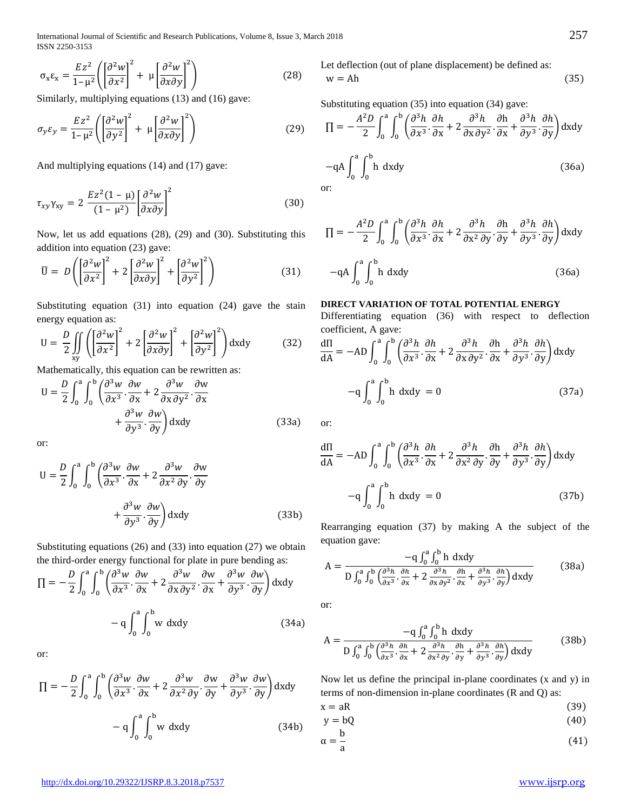International Journal of Scientific and Research Publications, Volume 8, Issue 3, March 2018 257 ISSN 2250-3153

$$
\sigma_x \varepsilon_x = \frac{Ez^2}{1 - \mu^2} \left( \left[ \frac{\partial^2 w}{\partial x^2} \right]^2 + \mu \left[ \frac{\partial^2 w}{\partial x \partial y} \right]^2 \right) \tag{28}
$$

Similarly, multiplying equations (13) and (16) gave:

$$
\sigma_y \varepsilon_y = \frac{Ez^2}{1-\mu^2} \left( \left[ \frac{\partial^2 w}{\partial y^2} \right]^2 + \mu \left[ \frac{\partial^2 w}{\partial x \partial y} \right]^2 \right) \tag{29}
$$

And multiplying equations (14) and (17) gave:

$$
\tau_{xy}\gamma_{xy} = 2\frac{Ez^2(1-\mu)}{(1-\mu^2)}\left[\frac{\partial^2 w}{\partial x \partial y}\right]^2\tag{30}
$$

Now, let us add equations (28), (29) and (30). Substituting this addition into equation (23) gave:

$$
\overline{U} = D\left(\left[\frac{\partial^2 w}{\partial x^2}\right]^2 + 2\left[\frac{\partial^2 w}{\partial x \partial y}\right]^2 + \left[\frac{\partial^2 w}{\partial y^2}\right]^2\right) \tag{31}
$$

Substituting equation (31) into equation (24) gave the stain energy equation as:

$$
U = \frac{D}{2} \iint_{xy} \left( \left[ \frac{\partial^2 w}{\partial x^2} \right]^2 + 2 \left[ \frac{\partial^2 w}{\partial x \partial y} \right]^2 + \left[ \frac{\partial^2 w}{\partial y^2} \right]^2 \right) dxdy \tag{32}
$$

Mathematically, this equation can be rewritten as:

$$
U = \frac{D}{2} \int_0^a \int_0^b \left( \frac{\partial^3 w}{\partial x^3} \cdot \frac{\partial w}{\partial x} + 2 \frac{\partial^3 w}{\partial x \partial y^2} \cdot \frac{\partial w}{\partial x} + \frac{\partial^3 w}{\partial y^3} \cdot \frac{\partial w}{\partial y} \right) dxdy
$$
(33a)

or:

$$
U = \frac{D}{2} \int_0^a \int_0^b \left( \frac{\partial^3 w}{\partial x^3} \cdot \frac{\partial w}{\partial x} + 2 \frac{\partial^3 w}{\partial x^2 \partial y} \cdot \frac{\partial w}{\partial y} + \frac{\partial^3 w}{\partial y^3} \cdot \frac{\partial w}{\partial y} \right) dxdy
$$
(33b)

Substituting equations (26) and (33) into equation (27) we obtain the third-order energy functional for plate in pure bending as:

$$
\Pi = -\frac{D}{2} \int_0^a \int_0^b \left( \frac{\partial^3 w}{\partial x^3} \cdot \frac{\partial w}{\partial x} + 2 \frac{\partial^3 w}{\partial x \partial y^2} \cdot \frac{\partial w}{\partial x} + \frac{\partial^3 w}{\partial y^3} \cdot \frac{\partial w}{\partial y} \right) dxdy
$$

$$
- q \int_0^a \int_0^b w \, dxdy \qquad (34a)
$$

or:

$$
\Pi = -\frac{D}{2} \int_0^a \int_0^b \left( \frac{\partial^3 w}{\partial x^3} \cdot \frac{\partial w}{\partial x} + 2 \frac{\partial^3 w}{\partial x^2 \partial y} \cdot \frac{\partial w}{\partial y} + \frac{\partial^3 w}{\partial y^3} \cdot \frac{\partial w}{\partial y} \right) dxdy
$$

$$
- q \int_0^a \int_0^b w \, dxdy \qquad (34b)
$$

Let deflection (out of plane displacement) be defined as:  $w = Ah$  (35)

Substituting equation (35) into equation (34) gave:

$$
\Pi = -\frac{A^2 D}{2} \int_0^a \int_0^b \left( \frac{\partial^3 h}{\partial x^3} \cdot \frac{\partial h}{\partial x} + 2 \frac{\partial^3 h}{\partial x \partial y^2} \cdot \frac{\partial h}{\partial x} + \frac{\partial^3 h}{\partial y^3} \cdot \frac{\partial h}{\partial y} \right) dxdy
$$
  
-qA  $\int_0^a \int_0^b h \ dx dy$  (36a)  
or:

$$
\Pi = -\frac{A^2 D}{2} \int_0^a \int_0^b \left( \frac{\partial^3 h}{\partial x^3} \cdot \frac{\partial h}{\partial x} + 2 \frac{\partial^3 h}{\partial x^2 \partial y} \cdot \frac{\partial h}{\partial y} + \frac{\partial^3 h}{\partial y^3} \cdot \frac{\partial h}{\partial y} \right) dxdy
$$
  
-qA  $\int_0^a \int_0^b h \, dxdy$  (36a)

# **DIRECT VARIATION OF TOTAL POTENTIAL ENERGY**

Differentiating equation (36) with respect to deflection coefficient, A gave:

$$
\frac{d\Pi}{dA} = -AD \int_0^a \int_0^b \left( \frac{\partial^3 h}{\partial x^3} \cdot \frac{\partial h}{\partial x} + 2 \frac{\partial^3 h}{\partial x \partial y^2} \cdot \frac{\partial h}{\partial x} + \frac{\partial^3 h}{\partial y^3} \cdot \frac{\partial h}{\partial y} \right) dxdy
$$

$$
-q \int_0^a \int_0^b h \, dxdy = 0
$$
(37a)

or:

 $0<sup>J</sup>$ 

$$
\frac{d\Pi}{dA} = -AD \int_0^a \int_0^b \left( \frac{\partial^3 h}{\partial x^3} \cdot \frac{\partial h}{\partial x} + 2 \frac{\partial^3 h}{\partial x^2 \partial y} \cdot \frac{\partial h}{\partial y} + \frac{\partial^3 h}{\partial y^3} \cdot \frac{\partial h}{\partial y} \right) dxdy
$$

$$
-q \int_0^a \int_0^b h \, dxdy = 0
$$
(37b)

Rearranging equation (37) by making A the subject of the equation gave:

$$
A = \frac{-q \int_0^a \int_0^b h \ dx dy}{D \int_0^a \int_0^b \left(\frac{\partial^3 h}{\partial x^3} \cdot \frac{\partial h}{\partial x} + 2 \frac{\partial^3 h}{\partial x \partial y^2} \cdot \frac{\partial h}{\partial x} + \frac{\partial^3 h}{\partial y^3} \cdot \frac{\partial h}{\partial y}\right) dxdy}
$$
(38a)

or:

$$
A = \frac{-q \int_0^a \int_0^b h \ dx dy}{D \int_0^a \int_0^b \left(\frac{\partial^3 h}{\partial x^3} \cdot \frac{\partial h}{\partial x} + 2 \frac{\partial^3 h}{\partial x^2 \partial y} \cdot \frac{\partial h}{\partial y} + \frac{\partial^3 h}{\partial y^3} \cdot \frac{\partial h}{\partial y}\right) dxdy}
$$
(38b)

Now let us define the principal in-plane coordinates (x and y) in terms of non-dimension in-plane coordinates (R and Q) as:

$$
x = aR \tag{39}
$$

$$
y = bQ \tag{40}
$$

$$
\alpha = \frac{1}{a} \tag{41}
$$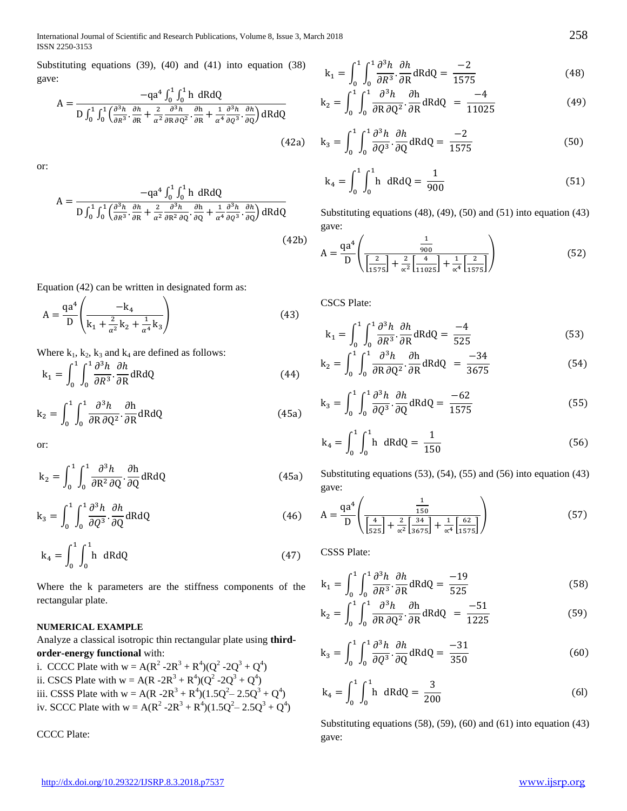International Journal of Scientific and Research Publications, Volume 8, Issue 3, March 2018 258 ISSN 2250-3153

Substituting equations (39), (40) and (41) into equation (38) gave:

$$
A = \frac{-qa^4 \int_0^1 \int_0^1 h \, dR dQ}{D \int_0^1 \int_0^1 \left(\frac{\partial^3 h}{\partial R^3} \cdot \frac{\partial h}{\partial R} + \frac{2}{\alpha^2} \frac{\partial^3 h}{\partial R \partial Q^2} \cdot \frac{\partial h}{\partial R} + \frac{1}{\alpha^4} \frac{\partial^3 h}{\partial Q^3} \cdot \frac{\partial h}{\partial Q}\right) dR dQ}
$$
(42a)

or:

$$
A = \frac{-qa^4 \int_0^1 \int_0^1 h \, dR dQ}{D \int_0^1 \int_0^1 \left(\frac{\partial^3 h}{\partial R^3} \cdot \frac{\partial h}{\partial R} + \frac{2}{\alpha^2} \frac{\partial^3 h}{\partial R^2 \partial Q} \cdot \frac{\partial h}{\partial Q} + \frac{1}{\alpha^4} \frac{\partial^3 h}{\partial Q^3} \cdot \frac{\partial h}{\partial Q}\right) dR dQ}
$$
(42b)

Equation (42) can be written in designated form as:

$$
A = \frac{qa^4}{D} \left( \frac{-k_4}{k_1 + \frac{2}{\alpha^2} k_2 + \frac{1}{\alpha^4} k_3} \right)
$$
(43)

Where  $k_1$ ,  $k_2$ ,  $k_3$  and  $k_4$  are defined as follows:

$$
k_1 = \int_0^1 \int_0^1 \frac{\partial^3 h}{\partial R^3} \cdot \frac{\partial h}{\partial R} dR dQ
$$
 (44)

$$
k_2 = \int_0^1 \int_0^1 \frac{\partial^3 h}{\partial R \, \partial Q^2} \cdot \frac{\partial h}{\partial R} dR dQ
$$
 (45a)

or:

$$
k_2 = \int_0^1 \int_0^1 \frac{\partial^3 h}{\partial R^2 \partial Q} \cdot \frac{\partial h}{\partial Q} dR dQ
$$
 (45a)

$$
k_3 = \int_0^1 \int_0^1 \frac{\partial^3 h}{\partial Q^3} \cdot \frac{\partial h}{\partial Q} dR dQ
$$
 (46)

$$
k_4 = \int_0^1 \int_0^1 h \ dR dQ \qquad (47)
$$

Where the k parameters are the stiffness components of the rectangular plate.

## **NUMERICAL EXAMPLE**

Analyze a classical isotropic thin rectangular plate using **thirdorder-energy functional** with:

i. CCCC Plate with  $w = A(R^2 - 2R^3 + R^4)(Q^2 - 2Q^3 + Q^4)$ ii. CSCS Plate with  $w = A(R - 2R^3 + R^4)(Q^2 - 2Q^3 + Q^4)$ iii. CSSS Plate with  $w = A(R - 2R^3 + R^4)(1.5Q^2 - 2.5Q^3 + Q^4)$ iv. SCCC Plate with  $w = A(R^2 - 2R^3 + R^4)(1.5Q^2 - 2.5Q^3 + Q^4)$ 

CCCC Plate:

$$
k_1 = \int_0^1 \int_0^1 \frac{\partial^3 h}{\partial R^3} \cdot \frac{\partial h}{\partial R} dR dQ = \frac{-2}{1575}
$$
 (48)

$$
k_2 = \int_0^1 \int_0^1 \frac{\partial^3 h}{\partial R \, \partial Q^2} \cdot \frac{\partial h}{\partial R} dR dQ = \frac{-4}{11025}
$$
(49)

$$
k_3 = \int_0^1 \int_0^1 \frac{\partial^3 h}{\partial Q^3} \cdot \frac{\partial h}{\partial Q} dR dQ = \frac{-2}{1575}
$$
 (50)

$$
k_4 = \int_0^1 \int_0^1 h \, dR dQ = \frac{1}{900}
$$
 (51)

Substituting equations (48), (49), (50) and (51) into equation (43) gave:

$$
A = \frac{qa^4}{D} \left( \frac{\frac{1}{900}}{\left[\frac{2}{1575}\right] + \frac{2}{\alpha^2} \left[\frac{4}{11025}\right] + \frac{1}{\alpha^4} \left[\frac{2}{1575}\right]} \right)
$$
(52)

CSCS Plate:

$$
k_1 = \int_0^1 \int_0^1 \frac{\partial^3 h}{\partial R^3} \cdot \frac{\partial h}{\partial R} dR dQ = \frac{-4}{525}
$$
 (53)

$$
k_2 = \int_0^1 \int_0^1 \frac{\partial^3 h}{\partial R \partial Q^2} \cdot \frac{\partial h}{\partial R} dR dQ = \frac{-34}{3675}
$$
 (54)

$$
k_3 = \int_0^1 \int_0^1 \frac{\partial^3 h}{\partial Q^3} \cdot \frac{\partial h}{\partial Q} dR dQ = \frac{-62}{1575}
$$
 (55)

$$
k_4 = \int_0^1 \int_0^1 h \, dR dQ = \frac{1}{150} \tag{56}
$$

Substituting equations  $(53)$ ,  $(54)$ ,  $(55)$  and  $(56)$  into equation  $(43)$ gave:

$$
A = \frac{qa^4}{D} \left( \frac{\frac{1}{150}}{\left[\frac{4}{525}\right] + \frac{2}{\alpha^2} \left[\frac{34}{3675}\right] + \frac{1}{\alpha^4} \left[\frac{62}{1575}\right]} \right)
$$
(57)

CSSS Plate:

$$
k_1 = \int_0^1 \int_0^1 \frac{\partial^3 h}{\partial R^3} \cdot \frac{\partial h}{\partial R} dR dQ = \frac{-19}{525}
$$
 (58)

$$
k_2 = \int_0^1 \int_0^1 \frac{\partial^3 h}{\partial R \partial Q^2} \cdot \frac{\partial h}{\partial R} dR dQ = \frac{-51}{1225}
$$
(59)

$$
k_3 = \int_0^1 \int_0^1 \frac{\partial^3 h}{\partial Q^3} \cdot \frac{\partial h}{\partial Q} dR dQ = \frac{-31}{350}
$$
 (60)

$$
k_4 = \int_0^1 \int_0^1 h \, dR dQ = \frac{3}{200}
$$
 (61)

Substituting equations (58), (59), (60) and (61) into equation (43) gave: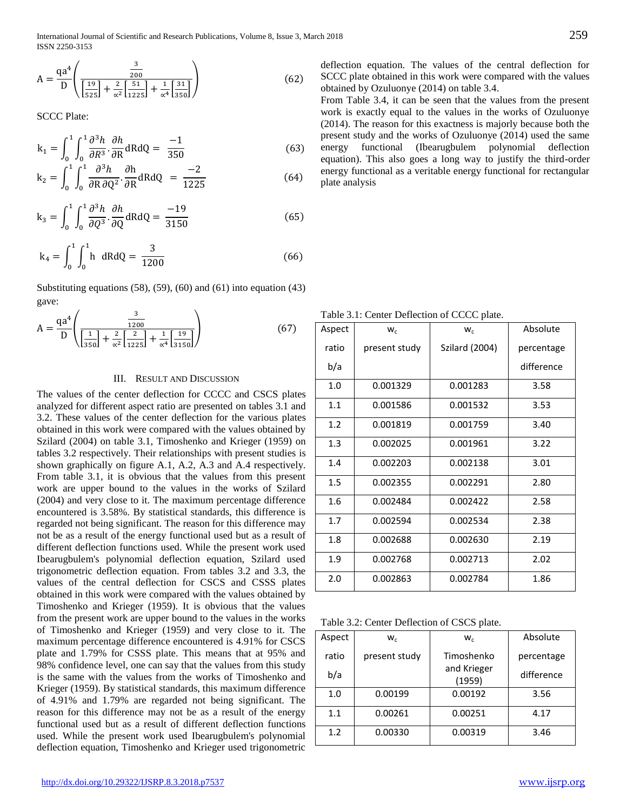International Journal of Scientific and Research Publications, Volume 8, Issue 3, March 2018 259 ISSN 2250-3153

$$
A = \frac{qa^4}{D} \left( \frac{\frac{3}{200}}{\left[\frac{19}{525}\right] + \frac{2}{\alpha^2} \left[\frac{51}{1225}\right] + \frac{1}{\alpha^4} \left[\frac{31}{350}\right]} \right)
$$
(62)

SCCC Plate:

$$
k_1 = \int_0^1 \int_0^1 \frac{\partial^3 h}{\partial R^3} \cdot \frac{\partial h}{\partial R} dR dQ = \frac{-1}{350}
$$
 (63)

$$
k_2 = \int_0^1 \int_0^1 \frac{\partial^3 h}{\partial R \partial Q^2} \cdot \frac{\partial h}{\partial R} dR dQ = \frac{-2}{1225}
$$
 (64)

$$
k_3 = \int_0^1 \int_0^1 \frac{\partial^3 h}{\partial Q^3} \cdot \frac{\partial h}{\partial Q} dR dQ = \frac{-19}{3150}
$$
 (65)

$$
k_4 = \int_0^1 \int_0^1 h \, dR dQ = \frac{3}{1200}
$$
 (66)

Substituting equations (58), (59), (60) and (61) into equation (43) gave:

$$
A = \frac{qa^4}{D} \left( \frac{\frac{3}{1200}}{\left[\frac{1}{350}\right] + \frac{2}{\alpha^2} \left[\frac{2}{1225}\right] + \frac{1}{\alpha^4} \left[\frac{19}{3150}\right]} \right)
$$
(67)

#### III. RESULT AND DISCUSSION

The values of the center deflection for CCCC and CSCS plates analyzed for different aspect ratio are presented on tables 3.1 and 3.2. These values of the center deflection for the various plates obtained in this work were compared with the values obtained by Szilard (2004) on table 3.1, Timoshenko and Krieger (1959) on tables 3.2 respectively. Their relationships with present studies is shown graphically on figure A.1, A.2, A.3 and A.4 respectively. From table 3.1, it is obvious that the values from this present work are upper bound to the values in the works of Szilard (2004) and very close to it. The maximum percentage difference encountered is 3.58%. By statistical standards, this difference is regarded not being significant. The reason for this difference may not be as a result of the energy functional used but as a result of different deflection functions used. While the present work used Ibearugbulem's polynomial deflection equation, Szilard used trigonometric deflection equation. From tables 3.2 and 3.3, the values of the central deflection for CSCS and CSSS plates obtained in this work were compared with the values obtained by Timoshenko and Krieger (1959). It is obvious that the values from the present work are upper bound to the values in the works of Timoshenko and Krieger (1959) and very close to it. The maximum percentage difference encountered is 4.91% for CSCS plate and 1.79% for CSSS plate. This means that at 95% and 98% confidence level, one can say that the values from this study is the same with the values from the works of Timoshenko and Krieger (1959). By statistical standards, this maximum difference of 4.91% and 1.79% are regarded not being significant. The reason for this difference may not be as a result of the energy functional used but as a result of different deflection functions used. While the present work used Ibearugbulem's polynomial deflection equation, Timoshenko and Krieger used trigonometric

deflection equation. The values of the central deflection for SCCC plate obtained in this work were compared with the values obtained by Ozuluonye (2014) on table 3.4.

From Table 3.4, it can be seen that the values from the present work is exactly equal to the values in the works of Ozuluonye (2014). The reason for this exactness is majorly because both the present study and the works of Ozuluonye (2014) used the same energy functional (Ibearugbulem polynomial deflection equation). This also goes a long way to justify the third-order energy functional as a veritable energy functional for rectangular plate analysis

Table 3.1: Center Deflection of CCCC plate.

| Aspect | $W_c$         | $W_{C}$        | Absolute   |  |  |  |
|--------|---------------|----------------|------------|--|--|--|
| ratio  | present study | Szilard (2004) | percentage |  |  |  |
| b/a    |               |                | difference |  |  |  |
| 1.0    | 0.001329      | 0.001283       | 3.58       |  |  |  |
| 1.1    | 0.001586      | 0.001532       | 3.53       |  |  |  |
| 1.2    | 0.001819      | 0.001759       | 3.40       |  |  |  |
| 1.3    | 0.002025      | 0.001961       | 3.22       |  |  |  |
| 1.4    | 0.002203      | 0.002138       | 3.01       |  |  |  |
| 1.5    | 0.002355      | 0.002291       | 2.80       |  |  |  |
| 1.6    | 0.002484      | 0.002422       | 2.58       |  |  |  |
| 1.7    | 0.002594      | 0.002534       | 2.38       |  |  |  |
| 1.8    | 0.002688      | 0.002630       | 2.19       |  |  |  |
| 1.9    | 0.002768      | 0.002713       | 2.02       |  |  |  |
| 2.0    | 0.002863      | 0.002784       | 1.86       |  |  |  |

Table 3.2: Center Deflection of CSCS plate.

| Aspect | $W_c$         | $W_c$                 | Absolute   |
|--------|---------------|-----------------------|------------|
| ratio  | present study | Timoshenko            | percentage |
| b/a    |               | and Krieger<br>(1959) | difference |
| 1.0    | 0.00199       | 0.00192               | 3.56       |
| 1.1    | 0.00261       | 0.00251               | 4.17       |
| 1.2    | 0.00330       | 0.00319               | 3.46       |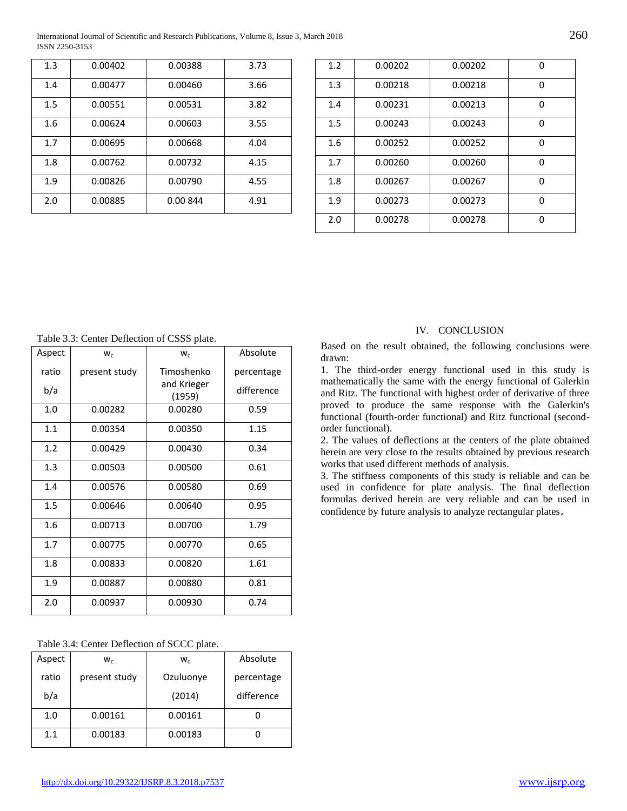International Journal of Scientific and Research Publications, Volume 8, Issue 3, March 2018 260 ISSN 2250-3153

| 1.3 | 0.00402 | 0.00388  | 3.73 |
|-----|---------|----------|------|
| 1.4 | 0.00477 | 0.00460  | 3.66 |
| 1.5 | 0.00551 | 0.00531  | 3.82 |
| 1.6 | 0.00624 | 0.00603  | 3.55 |
| 1.7 | 0.00695 | 0.00668  | 4.04 |
| 1.8 | 0.00762 | 0.00732  | 4.15 |
| 1.9 | 0.00826 | 0.00790  | 4.55 |
| 2.0 | 0.00885 | 0.00 844 | 4.91 |

| 1.2 | 0.00202 | 0.00202 | 0 |
|-----|---------|---------|---|
| 1.3 | 0.00218 | 0.00218 | 0 |
| 1.4 | 0.00231 | 0.00213 | ŋ |
| 1.5 | 0.00243 | 0.00243 | ŋ |
| 1.6 | 0.00252 | 0.00252 | ŋ |
| 1.7 | 0.00260 | 0.00260 | ŋ |
| 1.8 | 0.00267 | 0.00267 | ŋ |
| 1.9 | 0.00273 | 0.00273 | ŋ |
| 2.0 | 0.00278 | 0.00278 | n |

Table 3.3: Center Deflection of CSSS plate.

| Aspect | $W_c$         | $W_c$                 | Absolute   |
|--------|---------------|-----------------------|------------|
| ratio  | present study | Timoshenko            | percentage |
| b/a    |               | and Krieger<br>(1959) | difference |
| 1.0    | 0.00282       | 0.00280               | 0.59       |
| 1.1    | 0.00354       | 0.00350               | 1.15       |
| 1.2    | 0.00429       | 0.00430               | 0.34       |
| 1.3    | 0.00503       | 0.00500               | 0.61       |
| 1.4    | 0.00576       | 0.00580               | 0.69       |
| 1.5    | 0.00646       | 0.00640               | 0.95       |
| 1.6    | 0.00713       | 0.00700               | 1.79       |
| 1.7    | 0.00775       | 0.00770               | 0.65       |
| 1.8    | 0.00833       | 0.00820               | 1.61       |
| 1.9    | 0.00887       | 0.00880               | 0.81       |
| 2.0    | 0.00937       | 0.00930               | 0.74       |

|  |  | Table 3.4: Center Deflection of SCCC plate. |  |  |  |
|--|--|---------------------------------------------|--|--|--|
|--|--|---------------------------------------------|--|--|--|

| Aspect | $W_c$         | $W_c$     | Absolute   |
|--------|---------------|-----------|------------|
| ratio  | present study | Ozuluonye | percentage |
| b/a    |               | (2014)    | difference |
| 1.0    | 0.00161       | 0.00161   |            |
| 1.1    | 0.00183       | 0.00183   |            |

#### IV. CONCLUSION

Based on the result obtained, the following conclusions were drawn:

1. The third-order energy functional used in this study is mathematically the same with the energy functional of Galerkin and Ritz. The functional with highest order of derivative of three proved to produce the same response with the Galerkin's functional (fourth-order functional) and Ritz functional (secondorder functional).

2. The values of deflections at the centers of the plate obtained herein are very close to the results obtained by previous research works that used different methods of analysis.

3. The stiffness components of this study is reliable and can be used in confidence for plate analysis. The final deflection formulas derived herein are very reliable and can be used in confidence by future analysis to analyze rectangular plates.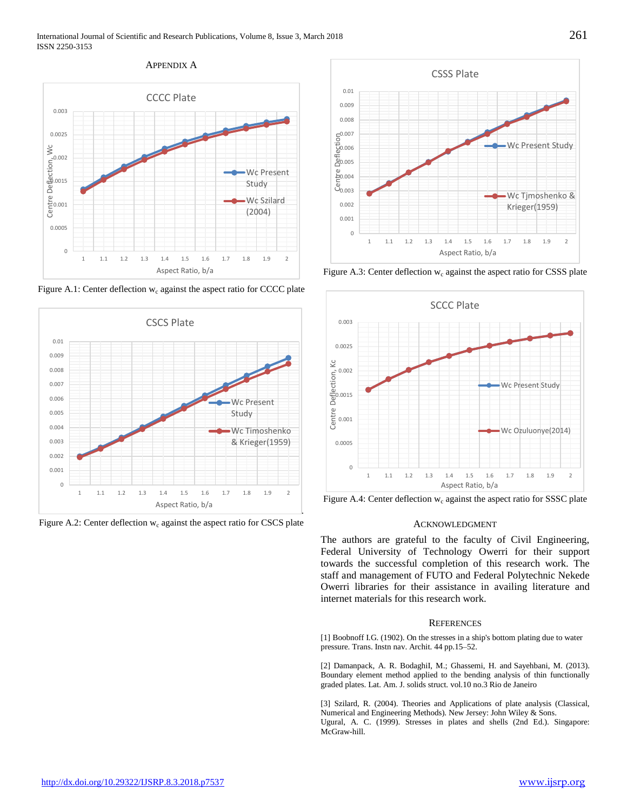## APPENDIX A



Figure A.1: Center deflection  $w_c$  against the aspect ratio for CCCC plate



Figure A.2: Center deflection  $w_c$  against the aspect ratio for CSCS plate



Figure A.3: Center deflection  $w_c$  against the aspect ratio for CSSS plate



Figure A.4: Center deflection  $w_c$  against the aspect ratio for SSSC plate

# ACKNOWLEDGMENT

The authors are grateful to the faculty of Civil Engineering, Federal University of Technology Owerri for their support towards the successful completion of this research work. The staff and management of FUTO and Federal Polytechnic Nekede Owerri libraries for their assistance in availing literature and internet materials for this research work.

## **REFERENCES**

[1] Boobnoff I.G. (1902). On the stresses in a ship's bottom plating due to water pressure. Trans. Instn nav. Archit. 44 pp.15–52.

[2] Damanpack, A. R. BodaghiI, M.; Ghassemi, H. and Sayehbani, M. (2013). Boundary element method applied to the bending analysis of thin functionally graded plates. Lat. Am. J. solids struct. vol.10 no.3 Rio de Janeiro

[3] Szilard, R. (2004). Theories and Applications of plate analysis (Classical, Numerical and Engineering Methods). New Jersey: John Wiley & Sons. Ugural, A. C. (1999). Stresses in plates and shells (2nd Ed.). Singapore: McGraw-hill.